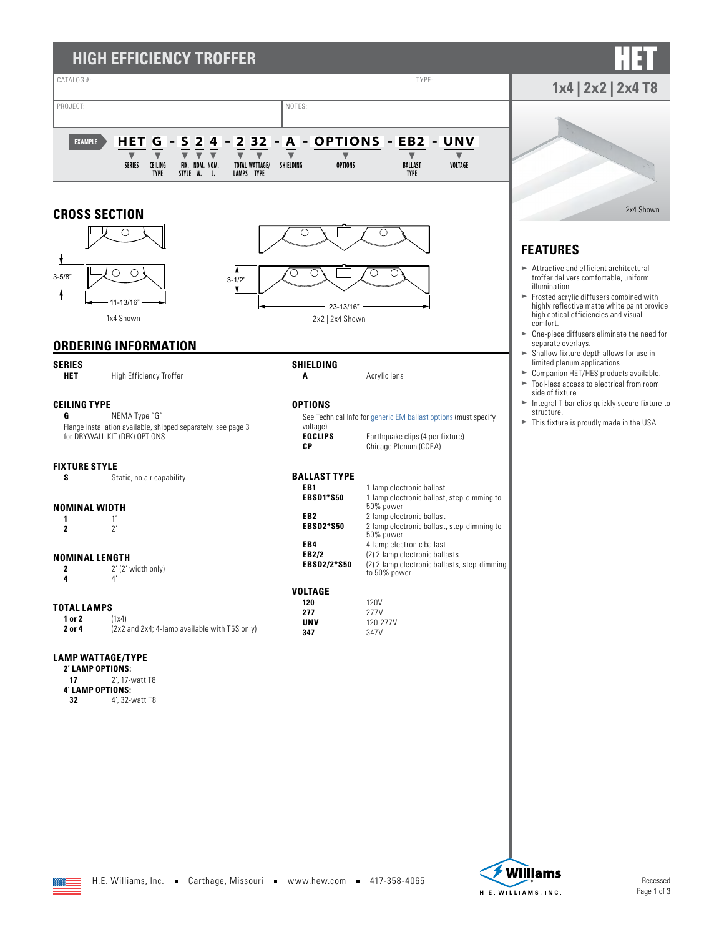| <b>HIGH EFFICIENCY TROFFER</b>                                                                                                                                                                                                                                                                       |                                                                                                                             |                                                                                                                                                                                                                                                                                                             |                                                                                                                                                                                                                                                                                                                                                          |
|------------------------------------------------------------------------------------------------------------------------------------------------------------------------------------------------------------------------------------------------------------------------------------------------------|-----------------------------------------------------------------------------------------------------------------------------|-------------------------------------------------------------------------------------------------------------------------------------------------------------------------------------------------------------------------------------------------------------------------------------------------------------|----------------------------------------------------------------------------------------------------------------------------------------------------------------------------------------------------------------------------------------------------------------------------------------------------------------------------------------------------------|
| CATALOG #:                                                                                                                                                                                                                                                                                           |                                                                                                                             | TYPE:                                                                                                                                                                                                                                                                                                       | $1x4$   2x2   2x4 T8                                                                                                                                                                                                                                                                                                                                     |
| PROJECT:<br>$\overline{\mathbf{2}}$<br>2 3 2<br>S<br><b>HET</b><br>G<br>4<br>EXAMPLE<br>$\overline{\mathbf{v}}$<br>$\blacktriangledown$<br>$\blacksquare$<br>$\blacktriangledown$<br>FIX. NOM. NOM.<br><b>SERIES</b><br><b>CEILING</b><br>TOTAL WATTAGE/<br>STYLE W. L.<br>LAMPS TYPE<br><b>TYPE</b> | NOTES:<br>A<br>$\blacktriangledown$<br>$\blacktriangledown$<br><b>OPTIONS</b><br>SHIELDING                                  | - OPTIONS - EB2<br>– UNV<br>v<br><b>BALLAST</b><br>VOLTAGE<br><b>TYPE</b>                                                                                                                                                                                                                                   |                                                                                                                                                                                                                                                                                                                                                          |
| <b>CROSS SECTION</b>                                                                                                                                                                                                                                                                                 |                                                                                                                             |                                                                                                                                                                                                                                                                                                             | 2x4 Shown                                                                                                                                                                                                                                                                                                                                                |
| $3 - 5/8"$<br>$3 - 1/2"$<br>11-13/16"<br>1x4 Shown<br><b>ORDERING INFORMATION</b>                                                                                                                                                                                                                    | О<br>C<br>23-13/16"<br>2x2   2x4 Shown                                                                                      | O<br>O                                                                                                                                                                                                                                                                                                      | <b>FEATURES</b><br>► Attractive and efficient architectural<br>troffer delivers comfortable, uniform<br>illumination.<br>Frosted acrylic diffusers combined with<br>highly reflective matte white paint provide<br>high optical efficiencies and visual<br>comfort.<br>$\triangleright$ One-piece diffusers eliminate the need for<br>separate overlays. |
| <b>SERIES</b>                                                                                                                                                                                                                                                                                        |                                                                                                                             |                                                                                                                                                                                                                                                                                                             | Shallow fixture depth allows for use in<br>limited plenum applications.                                                                                                                                                                                                                                                                                  |
| <b>High Efficiency Troffer</b><br><b>HET</b>                                                                                                                                                                                                                                                         | SHIELDING<br>Α                                                                                                              | Acrylic lens                                                                                                                                                                                                                                                                                                | Companion HET/HES products available.<br>Tool-less access to electrical from room                                                                                                                                                                                                                                                                        |
| <b>CEILING TYPE</b><br>NEMA Type "G"<br>G<br>Flange installation available, shipped separately: see page 3<br>for DRYWALL KIT (DFK) OPTIONS.                                                                                                                                                         | <b>OPTIONS</b><br>voltage).<br><b>EQCLIPS</b><br>СP                                                                         | See Technical Info for generic EM ballast options (must specify<br>Earthquake clips (4 per fixture)<br>Chicago Plenum (CCEA)                                                                                                                                                                                | side of fixture.<br>Integral T-bar clips quickly secure fixture to<br>structure.<br>$\blacktriangleright$ This fixture is proudly made in the USA.                                                                                                                                                                                                       |
| <b>FIXTURE STYLE</b>                                                                                                                                                                                                                                                                                 | <b>BALLAST TYPE</b>                                                                                                         |                                                                                                                                                                                                                                                                                                             |                                                                                                                                                                                                                                                                                                                                                          |
| Static, no air capability<br>s<br><b>NOMINAL WIDTH</b><br>1'<br>1<br>$2^{\prime}$<br>$\mathbf 2$<br><b>NOMINAL LENGTH</b><br>2<br>2' (2' width only)<br>41<br>4                                                                                                                                      | EB <sub>1</sub><br><b>EBSD1*S50</b><br>EB <sub>2</sub><br><b>EBSD2*S50</b><br>EB4<br>EB2/2<br>EBSD2/2*S50<br><b>VOLTAGE</b> | 1-lamp electronic ballast<br>1-lamp electronic ballast, step-dimming to<br>50% power<br>2-lamp electronic ballast<br>2-lamp electronic ballast, step-dimming to<br>50% power<br>4-lamp electronic ballast<br>(2) 2-lamp electronic ballasts<br>(2) 2-lamp electronic ballasts, step-dimming<br>to 50% power |                                                                                                                                                                                                                                                                                                                                                          |
| <b>TOTAL LAMPS</b>                                                                                                                                                                                                                                                                                   | 120<br>277                                                                                                                  | <b>120V</b><br>277V                                                                                                                                                                                                                                                                                         |                                                                                                                                                                                                                                                                                                                                                          |
| 1 or 2<br>(1x4)<br>2 or 4<br>(2x2 and 2x4; 4-lamp available with T5S only)                                                                                                                                                                                                                           | <b>UNV</b><br>347                                                                                                           | 120-277V<br>347V                                                                                                                                                                                                                                                                                            |                                                                                                                                                                                                                                                                                                                                                          |
| <b>LAMP WATTAGE/TYPE</b><br>2' LAMP OPTIONS:<br>17<br>2', 17-watt T8<br>4' LAMP OPTIONS:<br>32<br>4', 32-watt T8                                                                                                                                                                                     |                                                                                                                             |                                                                                                                                                                                                                                                                                                             |                                                                                                                                                                                                                                                                                                                                                          |

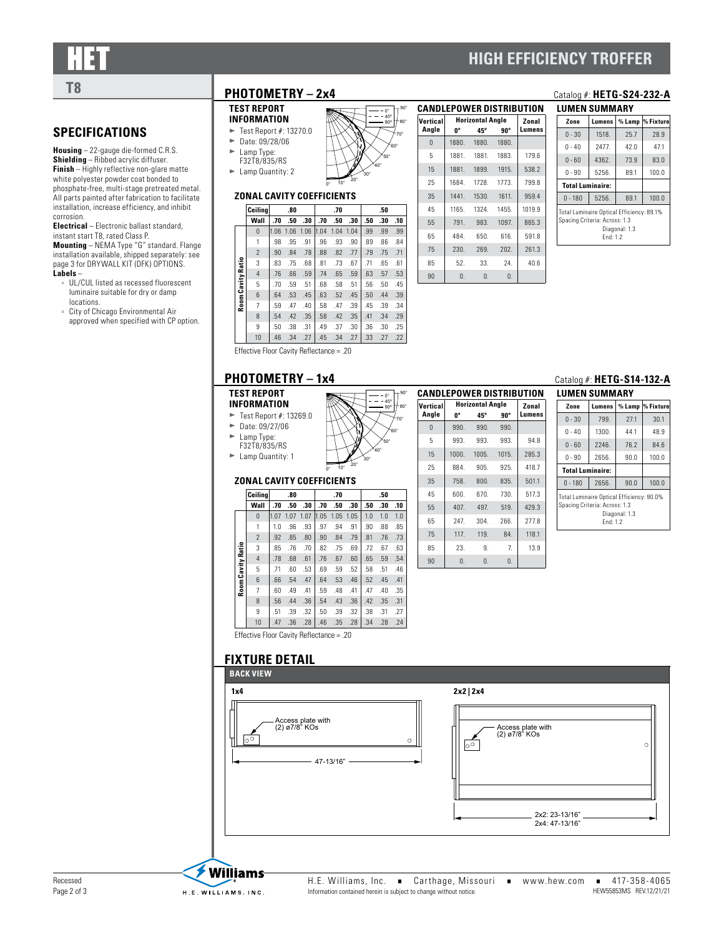## **HIGH EFFICIENCY TROFFER**

# **SPECIFICATIONS**

**Housing** – 22-gauge die-formed C.R.S. **Shielding** – Ribbed acrylic diffuser. **Finish** – Highly reflective non-glare matte white polyester powder coat bonded to phosphate-free, multi-stage pretreated metal. All parts painted after fabrication to facilitate installation, increase efficiency, and inhibit corrosion.

**Electrical** – Electronic ballast standard, instant start T8, rated Class P. **Mounting** – NEMA Type "G" standard. Flange installation available, shipped separately: [see](#page-2-0)  [page 3 for DRYWALL KIT \(DFK\) OPTIONS.](#page-2-0) **Labels** –

UL/CUL listed as recessed fluorescent luminaire suitable for dry or damp locations.

City of Chicago Environmental Air approved when specified with CP option.

## **T8 PHOTOMETRY – 2x4** Catalog #: **HETG-S24-232-A**

#### **TEST REPORT INFORMATION**

 $\blacktriangleright$  Test Report #: 13270.0  $\blacktriangleright$  Date: 09/28/06  $\blacktriangleright$  Lamp Type: F32T8/835/RS

 $\blacktriangleright$  Lamp Quantity: 2

#### **ZONAL CAVITY COEFFICIENTS**

|        | Ceilina        |        | .80  |      |      | .70  |      |     | .50 |     |
|--------|----------------|--------|------|------|------|------|------|-----|-----|-----|
|        | Wall           | .70    | .50  | .30  | .70  | .50  | .30  | .50 | .30 | .10 |
|        | $\Omega$       | 1.06   | 1.06 | 1.06 | 1.04 | 1.04 | 1.04 | .99 | .99 | .99 |
|        | 1              | .98    | .95  | .91  | .96  | .93  | .90  | .89 | .86 | .84 |
|        | $\mathcal{P}$  | .90    | .84  | .78  | .88  | .82  | .77  | .79 | .75 | .71 |
| Ratio  | 3              | .83    | .75  | .68  | .81  | .73  | .67  | .71 | .65 | .61 |
|        | $\overline{4}$ | .76    | .66  | .59  | .74  | .65  | .59  | .63 | .57 | .53 |
| Cavity | 5              | .70    | .59  | .51  | .68  | .58  | .51  | .56 | .50 | .45 |
|        | 6              | .64    | .53  | .45  | .63  | .52  | .45  | .50 | .44 | .39 |
| Room   | 7              | .59    | .47  | .40  | .58  | .47  | .39  | .45 | .39 | .34 |
|        | 8              | .54    | .42  | .35  | .58  | .42  | .35  | .41 | .34 | .29 |
|        | 9              | .50    | .38  | .31  | .49  | .37  | .30  | .36 | .30 | .25 |
|        | 10             | .46    | .34  | .27  | .45  | .34  | .27  | .33 | .27 | .22 |
| $-1$   |                | $\sim$ | . .  | $-$  |      |      |      |     |     |     |

 $0^{\circ}$  10°  $^{20^{\circ}}$ 

30° 40° 50° 60° 70° 80° 0°  $45^{\circ}$ 90º

| <b>CANDLEPOWER DISTRIBUTION</b> |            |                         |            |        |  |  |  |  |  |
|---------------------------------|------------|-------------------------|------------|--------|--|--|--|--|--|
| Vertical                        |            | <b>Horizontal Angle</b> |            |        |  |  |  |  |  |
| Angle                           | 0°         | 45°                     | 90°        | umens. |  |  |  |  |  |
| $\Omega$                        | 1880.      | 1880.                   | 1880.      |        |  |  |  |  |  |
| 5                               |            | 1881. 1881. 1883.       |            | 179.6  |  |  |  |  |  |
| 15                              | 1881.      | 1899. 1915.             |            | 538.2  |  |  |  |  |  |
| 25                              |            | 1684. 1728.             | 1773.      | 799.8  |  |  |  |  |  |
| 35                              | 1441.      | 1530.                   | 1611.      | 959.4  |  |  |  |  |  |
| 45                              | 1165.      | 1324.                   | 1455.      | 1019.9 |  |  |  |  |  |
| 55                              | 791.       | 983.                    | 1097       | 865.3  |  |  |  |  |  |
| 65                              | 484.       | 650.                    | 616.       | 591.8  |  |  |  |  |  |
| 75                              | 230.       | 269.                    | 202.       | 261.3  |  |  |  |  |  |
| 85                              | 52.        | 33.                     | - 24.      | 40.6   |  |  |  |  |  |
| 90                              | $\Omega$ . | $\mathbf{0}$ .          | $\Omega$ . |        |  |  |  |  |  |

90°

90°

30° 40° 50° 60° 70° 80° 0°  $45^{\circ}$ 90º

| LUMEN SUMMARY                                                                                           |               |      |                  |  |  |  |  |  |
|---------------------------------------------------------------------------------------------------------|---------------|------|------------------|--|--|--|--|--|
| Zone                                                                                                    | Lumens        |      | % Lamp % Fixture |  |  |  |  |  |
| $0 - 30$                                                                                                | 1518.         | 25.7 | 28.9             |  |  |  |  |  |
| $0 - 40$                                                                                                | 2477          | 42.0 | 47.1             |  |  |  |  |  |
| $0 - 60$                                                                                                | 4362.         | 73.9 | 83.0             |  |  |  |  |  |
| ი - 90                                                                                                  | 5256.<br>89.1 |      | 100.0            |  |  |  |  |  |
| <b>Total Luminaire:</b>                                                                                 |               |      |                  |  |  |  |  |  |
| $0 - 180$                                                                                               | 5256.         | 89.1 | 100.0            |  |  |  |  |  |
| Total Luminaire Optical Efficiency: 89.1%<br>Spacing Criteria: Across: 1.3<br>Diagonal: 1.3<br>Fnd: 1.2 |               |      |                  |  |  |  |  |  |

|  |                                          |  | . |  |  |
|--|------------------------------------------|--|---|--|--|
|  | $10$ $.46$ $.34$ $.27$ $.45$ $.34$ $.27$ |  |   |  |  |
|  | Effective Floor Cavity Reflectance = .20 |  |   |  |  |

### **PHOTOMETRY – 1x4** C

#### **TEST REPORT INFORMATION**

 $\blacktriangleright$  Test Report #: 13269.0  $\blacktriangleright$  Date: 09/27/06  $\blacktriangleright$  Lamp Type:

F32T8/835/RS  $\blacktriangleright$  Lamp Quantity: 1



|         |     | ZONAL CAVITY COEFFICIENTS |  |
|---------|-----|---------------------------|--|
| Ceiling | -80 | -70                       |  |

|                   | Ceilinal       |      | .80  |      |      | .70  |      |     | .50 |     |
|-------------------|----------------|------|------|------|------|------|------|-----|-----|-----|
|                   | Wall           | .70  | .50  | .30  | .70  | .50  | .30  | .50 | .30 | .10 |
|                   | 0              | 1.07 | 1.07 | 1.07 | 1.05 | 1.05 | 1.05 | 1.0 | 1.0 | 1.0 |
|                   | 1              | 1.0  | .96  | .93  | .97  | .94  | .91  | .90 | .88 | .85 |
|                   | $\overline{2}$ | .92  | .85  | .80  | .90  | .84  | .79  | .81 | .76 | .73 |
|                   | 3              | .85  | .76  | .70  | .82  | .75  | .69  | .72 | .67 | .63 |
|                   | $\overline{4}$ | .78  | .68  | .61  | .76  | .67  | .60  | .65 | .59 | .54 |
|                   | 5              | .71  | .60  | .53  | .69  | .59  | .52  | .58 | .51 | .46 |
| Room Cavity Ratio | 6              | .66  | .54  | .47  | .64  | .53  | .46  | .52 | .45 | .41 |
|                   | $\overline{7}$ | .60  | .49  | .41  | .59  | .48  | .41  | .47 | .40 | .35 |
|                   | 8              | .56  | .44  | .36  | .54  | .43  | .36  | .42 | .35 | .31 |
|                   | 9              | .51  | .39  | .32  | .50  | .39  | .32  | .38 | .31 | .27 |
|                   | 10             | .47  | .36  | .28  | .46  | .35  | .28  | .34 | .28 | .24 |

**CANDLEPOWER DISTRIBUTION Vertical Angle Horizontal Angle Zonal**<br>  $0^{\circ}$  **45° 90° Lumens 0º 45º 90º Lumens** 990. 990. 990. 993. 993. 993. 94.8 1000. 1005. 1015. 285.3 884. 905. 925. 418.7 758. 800. 835. 501.1 600. 670. 730. 517.3 407. 497. 519. 429.3 247. 304. 266. 277.8 117. 119. 84. 118.1 23. 9. 7. 13.9 90 0. 0. 0.

| atalog #: HETG-S14-132-A |  |  |  |  |
|--------------------------|--|--|--|--|

|                                                                                                         | LUMEN SUMMARY |      |                  |  |  |  |  |  |  |  |
|---------------------------------------------------------------------------------------------------------|---------------|------|------------------|--|--|--|--|--|--|--|
| Zone                                                                                                    | Lumens        |      | % Lamp % Fixture |  |  |  |  |  |  |  |
| $0 - 30$                                                                                                | 799.          | 27.1 | 30.1             |  |  |  |  |  |  |  |
| $0 - 40$                                                                                                | 1300.         | 44.1 | 48.9             |  |  |  |  |  |  |  |
| $0 - 60$                                                                                                | 2246.         | 76.2 | 84.6             |  |  |  |  |  |  |  |
| $0 - 90$                                                                                                | 2656.         | 90.0 | 100.0            |  |  |  |  |  |  |  |
| <b>Total Luminaire:</b>                                                                                 |               |      |                  |  |  |  |  |  |  |  |
| $0 - 180$                                                                                               | 2656.         | 90.0 | 100.0            |  |  |  |  |  |  |  |
| Total Luminaire Optical Efficiency: 90.0%<br>Spacing Criteria: Across: 1.3<br>Diagonal: 1.3<br>Fnd: 1.2 |               |      |                  |  |  |  |  |  |  |  |

#### Effective Floor Cavity Reflectance = .20

#### **FIXTURE DETAIL**



H.E. Williams, Inc. Carthage, Missouri www.hew.com 417-358-4065 Information contained herein is subject to change without notice.

HEW55853MS REV.12/21/21